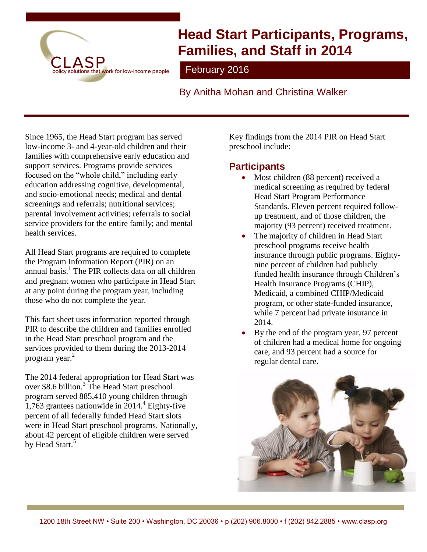

# **Head Start Participants, Programs, Families, and Staff in 2014**

February 2016

By Anitha Mohan and Christina Walker

Since 1965, the Head Start program has served low-income 3- and 4-year-old children and their families with comprehensive early education and support services. Programs provide services focused on the "whole child," including early education addressing cognitive, developmental, and socio-emotional needs; medical and dental screenings and referrals; nutritional services; parental involvement activities; referrals to social service providers for the entire family; and mental health services.

All Head Start programs are required to complete the Program Information Report (PIR) on an annual basis.<sup>1</sup> The PIR collects data on all children and pregnant women who participate in Head Start at any point during the program year, including those who do not complete the year.

This fact sheet uses information reported through PIR to describe the children and families enrolled in the Head Start preschool program and the services provided to them during the 2013-2014 program year. 2

The 2014 federal appropriation for Head Start was over \$8.6 billion. 3 The Head Start preschool program served 885,410 young children through 1,763 grantees nationwide in 2014. 4 Eighty-five percent of all federally funded Head Start slots were in Head Start preschool programs. Nationally, about 42 percent of eligible children were served by Head Start.<sup>5</sup>

Key findings from the 2014 PIR on Head Start preschool include:

## **Participants**

- Most children (88 percent) received a medical screening as required by federal Head Start Program Performance Standards. Eleven percent required followup treatment, and of those children, the majority (93 percent) received treatment.
- The majority of children in Head Start preschool programs receive health insurance through public programs. Eightynine percent of children had publicly funded health insurance through Children's Health Insurance Programs (CHIP), Medicaid, a combined CHIP/Medicaid program, or other state-funded insurance, while 7 percent had private insurance in 2014.
- By the end of the program year, 97 percent of children had a medical home for ongoing care, and 93 percent had a source for regular dental care.

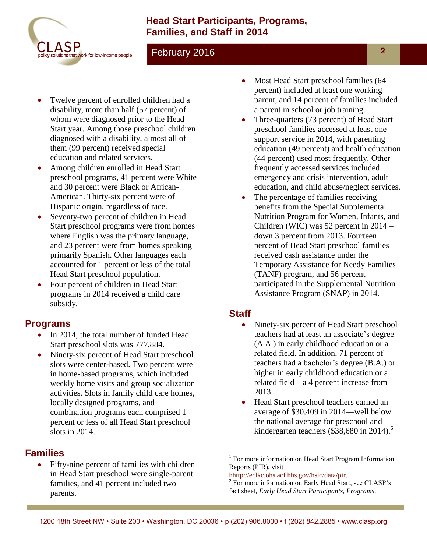## **Head Start Participants, Programs, Families, and Staff in 2014**



### February 2016

- Twelve percent of enrolled children had a disability, more than half (57 percent) of whom were diagnosed prior to the Head Start year. Among those preschool children diagnosed with a disability, almost all of them (99 percent) received special education and related services.
- Among children enrolled in Head Start preschool programs, 41 percent were White and 30 percent were Black or African-American. Thirty-six percent were of Hispanic origin, regardless of race.
- Seventy-two percent of children in Head Start preschool programs were from homes where English was the primary language, and 23 percent were from homes speaking primarily Spanish. Other languages each accounted for 1 percent or less of the total Head Start preschool population.
- Four percent of children in Head Start programs in 2014 received a child care subsidy.

#### **Programs**

- In 2014, the total number of funded Head Start preschool slots was 777,884.
- Ninety-six percent of Head Start preschool slots were center-based. Two percent were in home-based programs, which included weekly home visits and group socialization activities. Slots in family child care homes, locally designed programs, and combination programs each comprised 1 percent or less of all Head Start preschool slots in 2014.

## **Families**

 Fifty-nine percent of families with children in Head Start preschool were single-parent families, and 41 percent included two parents.

- Most Head Start preschool families (64 percent) included at least one working parent, and 14 percent of families included a parent in school or job training.
- Three-quarters (73 percent) of Head Start preschool families accessed at least one support service in 2014, with parenting education (49 percent) and health education (44 percent) used most frequently. Other frequently accessed services included emergency and crisis intervention, adult education, and child abuse/neglect services.
- The percentage of families receiving benefits from the Special Supplemental Nutrition Program for Women, Infants, and Children (WIC) was 52 percent in 2014 – down 3 percent from 2013. Fourteen percent of Head Start preschool families received cash assistance under the Temporary Assistance for Needy Families (TANF) program, and 56 percent participated in the Supplemental Nutrition Assistance Program (SNAP) in 2014.

## **Staff**

- Ninety-six percent of Head Start preschool teachers had at least an associate's degree (A.A.) in early childhood education or a related field. In addition, 71 percent of teachers had a bachelor's degree (B.A.) or higher in early childhood education or a related field—a 4 percent increase from 2013.
- Head Start preschool teachers earned an average of \$30,409 in 2014—well below the national average for preschool and kindergarten teachers (\$38,680 in 2014). 6

[hhttp://eclkc.ohs.acf.hhs.gov/hslc/data/pir.](http://eclkc.ohs.acf.hhs.gov/hslc/Program%20Design%20and%20Management/Head%20Start%20Requirements/Progam%20Information%20Report)

 $\overline{a}$ 

<sup>1</sup> For more information on Head Start Program Information Reports (PIR), visit

<sup>&</sup>lt;sup>2</sup> For more information on Early Head Start, see CLASP's fact sheet, *Early Head Start Participants, Programs,*